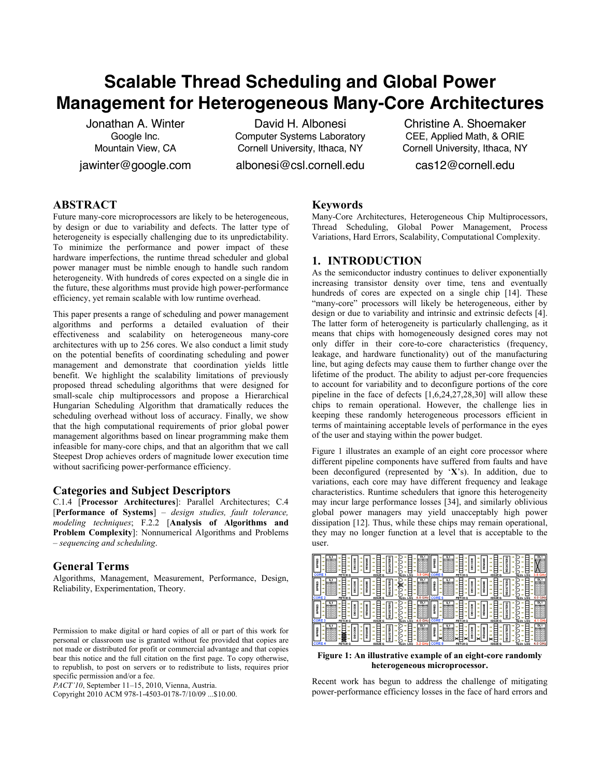# **Scalable Thread Scheduling and Global Power Management for Heterogeneous Many-Core Architectures**

Jonathan A. Winter Google Inc. Mountain View, CA jawinter@google.com

David H. Albonesi Computer Systems Laboratory Cornell University, Ithaca, NY

albonesi@csl.cornell.edu

Christine A. Shoemaker CEE, Applied Math, & ORIE Cornell University, Ithaca, NY

cas12@cornell.edu

## **ABSTRACT**

Future many-core microprocessors are likely to be heterogeneous, by design or due to variability and defects. The latter type of heterogeneity is especially challenging due to its unpredictability. To minimize the performance and power impact of these hardware imperfections, the runtime thread scheduler and global power manager must be nimble enough to handle such random heterogeneity. With hundreds of cores expected on a single die in the future, these algorithms must provide high power-performance efficiency, yet remain scalable with low runtime overhead.

This paper presents a range of scheduling and power management algorithms and performs a detailed evaluation of their effectiveness and scalability on heterogeneous many-core architectures with up to 256 cores. We also conduct a limit study on the potential benefits of coordinating scheduling and power management and demonstrate that coordination yields little benefit. We highlight the scalability limitations of previously proposed thread scheduling algorithms that were designed for small-scale chip multiprocessors and propose a Hierarchical Hungarian Scheduling Algorithm that dramatically reduces the scheduling overhead without loss of accuracy. Finally, we show that the high computational requirements of prior global power management algorithms based on linear programming make them infeasible for many-core chips, and that an algorithm that we call Steepest Drop achieves orders of magnitude lower execution time without sacrificing power-performance efficiency.

## **Categories and Subject Descriptors**

C.1.4 [**Processor Architectures**]: Parallel Architectures; C.4 [**Performance of Systems**] – *design studies, fault tolerance, modeling techniques*; F.2.2 [**Analysis of Algorithms and Problem Complexity**]: Nonnumerical Algorithms and Problems – *sequencing and scheduling*.

## **General Terms**

Algorithms, Management, Measurement, Performance, Design, Reliability, Experimentation, Theory.

Copyright 2010 ACM 978-1-4503-0178-7/10/09 ...\$10.00.

## **Keywords**

Many-Core Architectures, Heterogeneous Chip Multiprocessors, Thread Scheduling, Global Power Management, Process Variations, Hard Errors, Scalability, Computational Complexity.

## **1. INTRODUCTION**

As the semiconductor industry continues to deliver exponentially increasing transistor density over time, tens and eventually hundreds of cores are expected on a single chip [14]. These "many-core" processors will likely be heterogeneous, either by design or due to variability and intrinsic and extrinsic defects [4]. The latter form of heterogeneity is particularly challenging, as it means that chips with homogeneously designed cores may not only differ in their core-to-core characteristics (frequency, leakage, and hardware functionality) out of the manufacturing line, but aging defects may cause them to further change over the lifetime of the product. The ability to adjust per-core frequencies to account for variability and to deconfigure portions of the core pipeline in the face of defects  $[1,6,24,27,28,30]$  will allow these chips to remain operational. However, the challenge lies in keeping these randomly heterogeneous processors efficient in terms of maintaining acceptable levels of performance in the eyes of the user and staying within the power budget.

Figure 1 illustrates an example of an eight core processor where different pipeline components have suffered from faults and have been deconfigured (represented by '**X**'s). In addition, due to variations, each core may have different frequency and leakage characteristics. Runtime schedulers that ignore this heterogeneity may incur large performance losses [34], and similarly oblivious global power managers may yield unacceptably high power dissipation [12]. Thus, while these chips may remain operational, they may no longer function at a level that is acceptable to the user.



**Figure 1: An illustrative example of an eight-core randomly heterogeneous microprocessor.**

Recent work has begun to address the challenge of mitigating power-performance efficiency losses in the face of hard errors and

Permission to make digital or hard copies of all or part of this work for personal or classroom use is granted without fee provided that copies are not made or distributed for profit or commercial advantage and that copies bear this notice and the full citation on the first page. To copy otherwise, to republish, to post on servers or to redistribute to lists, requires prior specific permission and/or a fee.

*PACT'10*, September 11–15, 2010, Vienna, Austria.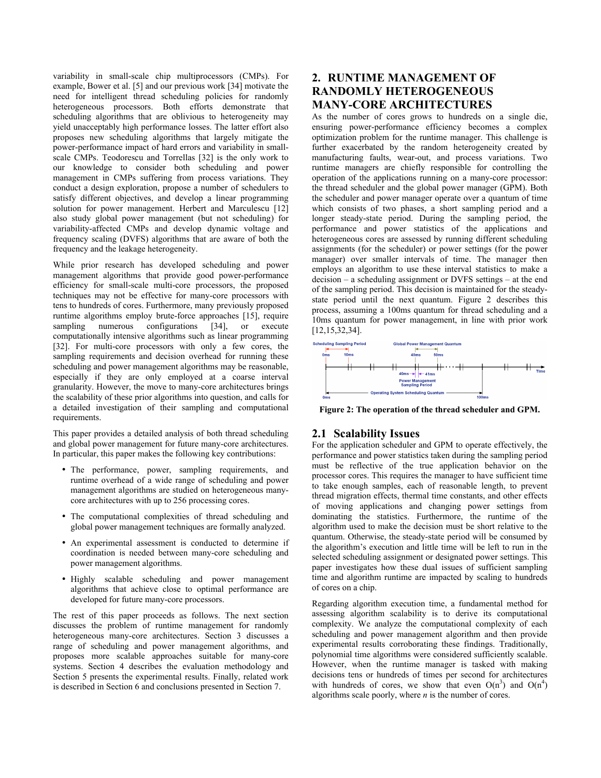variability in small-scale chip multiprocessors (CMPs). For example, Bower et al. [5] and our previous work [34] motivate the need for intelligent thread scheduling policies for randomly heterogeneous processors. Both efforts demonstrate that scheduling algorithms that are oblivious to heterogeneity may yield unacceptably high performance losses. The latter effort also proposes new scheduling algorithms that largely mitigate the power-performance impact of hard errors and variability in smallscale CMPs. Teodorescu and Torrellas [32] is the only work to our knowledge to consider both scheduling and power management in CMPs suffering from process variations. They conduct a design exploration, propose a number of schedulers to satisfy different objectives, and develop a linear programming solution for power management. Herbert and Marculescu [12] also study global power management (but not scheduling) for variability-affected CMPs and develop dynamic voltage and frequency scaling (DVFS) algorithms that are aware of both the frequency and the leakage heterogeneity.

While prior research has developed scheduling and power management algorithms that provide good power-performance efficiency for small-scale multi-core processors, the proposed techniques may not be effective for many-core processors with tens to hundreds of cores. Furthermore, many previously proposed runtime algorithms employ brute-force approaches [15], require sampling numerous configurations [34], or execute computationally intensive algorithms such as linear programming [32]. For multi-core processors with only a few cores, the sampling requirements and decision overhead for running these scheduling and power management algorithms may be reasonable, especially if they are only employed at a coarse interval granularity. However, the move to many-core architectures brings the scalability of these prior algorithms into question, and calls for a detailed investigation of their sampling and computational requirements.

This paper provides a detailed analysis of both thread scheduling and global power management for future many-core architectures. In particular, this paper makes the following key contributions:

- The performance, power, sampling requirements, and runtime overhead of a wide range of scheduling and power management algorithms are studied on heterogeneous manycore architectures with up to 256 processing cores.
- The computational complexities of thread scheduling and global power management techniques are formally analyzed.
- An experimental assessment is conducted to determine if coordination is needed between many-core scheduling and power management algorithms.
- Highly scalable scheduling and power management algorithms that achieve close to optimal performance are developed for future many-core processors.

The rest of this paper proceeds as follows. The next section discusses the problem of runtime management for randomly heterogeneous many-core architectures. Section 3 discusses a range of scheduling and power management algorithms, and proposes more scalable approaches suitable for many-core systems. Section 4 describes the evaluation methodology and Section 5 presents the experimental results. Finally, related work is described in Section 6 and conclusions presented in Section 7.

## **2. RUNTIME MANAGEMENT OF RANDOMLY HETEROGENEOUS MANY-CORE ARCHITECTURES**

As the number of cores grows to hundreds on a single die, ensuring power-performance efficiency becomes a complex optimization problem for the runtime manager. This challenge is further exacerbated by the random heterogeneity created by manufacturing faults, wear-out, and process variations. Two runtime managers are chiefly responsible for controlling the operation of the applications running on a many-core processor: the thread scheduler and the global power manager (GPM). Both the scheduler and power manager operate over a quantum of time which consists of two phases, a short sampling period and a longer steady-state period. During the sampling period, the performance and power statistics of the applications and heterogeneous cores are assessed by running different scheduling assignments (for the scheduler) or power settings (for the power manager) over smaller intervals of time. The manager then employs an algorithm to use these interval statistics to make a decision – a scheduling assignment or DVFS settings – at the end of the sampling period. This decision is maintained for the steadystate period until the next quantum. Figure 2 describes this process, assuming a 100ms quantum for thread scheduling and a 10ms quantum for power management, in line with prior work [12,15,32,34].



**Figure 2: The operation of the thread scheduler and GPM.**

## **2.1 Scalability Issues**

For the application scheduler and GPM to operate effectively, the performance and power statistics taken during the sampling period must be reflective of the true application behavior on the processor cores. This requires the manager to have sufficient time to take enough samples, each of reasonable length, to prevent thread migration effects, thermal time constants, and other effects of moving applications and changing power settings from dominating the statistics. Furthermore, the runtime of the algorithm used to make the decision must be short relative to the quantum. Otherwise, the steady-state period will be consumed by the algorithm's execution and little time will be left to run in the selected scheduling assignment or designated power settings. This paper investigates how these dual issues of sufficient sampling time and algorithm runtime are impacted by scaling to hundreds of cores on a chip.

Regarding algorithm execution time, a fundamental method for assessing algorithm scalability is to derive its computational complexity. We analyze the computational complexity of each scheduling and power management algorithm and then provide experimental results corroborating these findings. Traditionally, polynomial time algorithms were considered sufficiently scalable. However, when the runtime manager is tasked with making decisions tens or hundreds of times per second for architectures with hundreds of cores, we show that even  $O(n^3)$  and  $O(n^4)$ algorithms scale poorly, where *n* is the number of cores.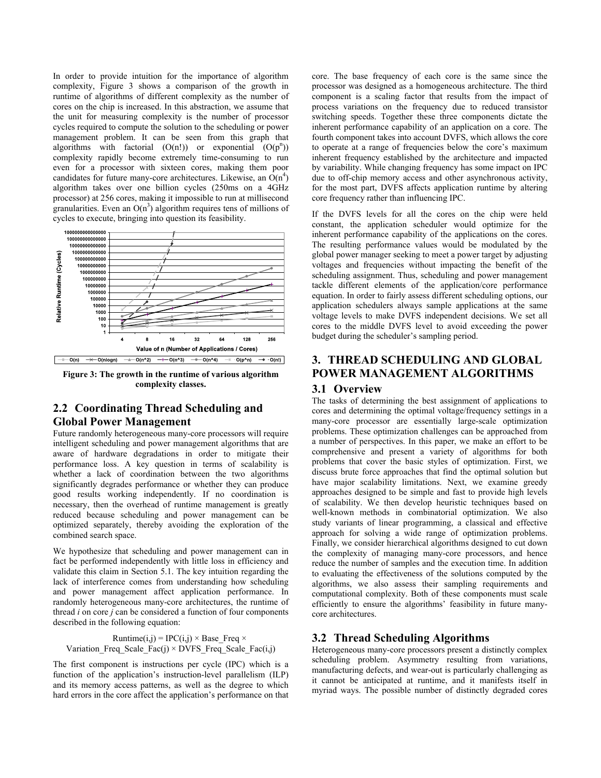In order to provide intuition for the importance of algorithm complexity, Figure 3 shows a comparison of the growth in runtime of algorithms of different complexity as the number of cores on the chip is increased. In this abstraction, we assume that the unit for measuring complexity is the number of processor cycles required to compute the solution to the scheduling or power management problem. It can be seen from this graph that algorithms with factorial  $(O(n!))$  or exponential  $(O(p^n))$ complexity rapidly become extremely time-consuming to run even for a processor with sixteen cores, making them poor candidates for future many-core architectures. Likewise, an  $O(n^4)$ algorithm takes over one billion cycles (250ms on a 4GHz processor) at 256 cores, making it impossible to run at millisecond granularities. Even an  $O(n^3)$  algorithm requires tens of millions of cycles to execute, bringing into question its feasibility.



**Figure 3: The growth in the runtime of various algorithm complexity classes.**

## **2.2 Coordinating Thread Scheduling and Global Power Management**

Future randomly heterogeneous many-core processors will require intelligent scheduling and power management algorithms that are aware of hardware degradations in order to mitigate their performance loss. A key question in terms of scalability is whether a lack of coordination between the two algorithms significantly degrades performance or whether they can produce good results working independently. If no coordination is necessary, then the overhead of runtime management is greatly reduced because scheduling and power management can be optimized separately, thereby avoiding the exploration of the combined search space.

We hypothesize that scheduling and power management can in fact be performed independently with little loss in efficiency and validate this claim in Section 5.1. The key intuition regarding the lack of interference comes from understanding how scheduling and power management affect application performance. In randomly heterogeneous many-core architectures, the runtime of thread *i* on core *j* can be considered a function of four components described in the following equation:

Runtime(i,j) = IPC(i,j)  $\times$  Base Freq  $\times$ Variation Freq Scale Fac(j) × DVFS Freq Scale Fac(i,j)

The first component is instructions per cycle (IPC) which is a function of the application's instruction-level parallelism (ILP) and its memory access patterns, as well as the degree to which hard errors in the core affect the application's performance on that core. The base frequency of each core is the same since the processor was designed as a homogeneous architecture. The third component is a scaling factor that results from the impact of process variations on the frequency due to reduced transistor switching speeds. Together these three components dictate the inherent performance capability of an application on a core. The fourth component takes into account DVFS, which allows the core to operate at a range of frequencies below the core's maximum inherent frequency established by the architecture and impacted by variability. While changing frequency has some impact on IPC due to off-chip memory access and other asynchronous activity, for the most part, DVFS affects application runtime by altering core frequency rather than influencing IPC.

If the DVFS levels for all the cores on the chip were held constant, the application scheduler would optimize for the inherent performance capability of the applications on the cores. The resulting performance values would be modulated by the global power manager seeking to meet a power target by adjusting voltages and frequencies without impacting the benefit of the scheduling assignment. Thus, scheduling and power management tackle different elements of the application/core performance equation. In order to fairly assess different scheduling options, our application schedulers always sample applications at the same voltage levels to make DVFS independent decisions. We set all cores to the middle DVFS level to avoid exceeding the power budget during the scheduler's sampling period.

# **3. THREAD SCHEDULING AND GLOBAL POWER MANAGEMENT ALGORITHMS**

## **3.1 Overview**

The tasks of determining the best assignment of applications to cores and determining the optimal voltage/frequency settings in a many-core processor are essentially large-scale optimization problems. These optimization challenges can be approached from a number of perspectives. In this paper, we make an effort to be comprehensive and present a variety of algorithms for both problems that cover the basic styles of optimization. First, we discuss brute force approaches that find the optimal solution but have major scalability limitations. Next, we examine greedy approaches designed to be simple and fast to provide high levels of scalability. We then develop heuristic techniques based on well-known methods in combinatorial optimization. We also study variants of linear programming, a classical and effective approach for solving a wide range of optimization problems. Finally, we consider hierarchical algorithms designed to cut down the complexity of managing many-core processors, and hence reduce the number of samples and the execution time. In addition to evaluating the effectiveness of the solutions computed by the algorithms, we also assess their sampling requirements and computational complexity. Both of these components must scale efficiently to ensure the algorithms' feasibility in future manycore architectures.

## **3.2 Thread Scheduling Algorithms**

Heterogeneous many-core processors present a distinctly complex scheduling problem. Asymmetry resulting from variations, manufacturing defects, and wear-out is particularly challenging as it cannot be anticipated at runtime, and it manifests itself in myriad ways. The possible number of distinctly degraded cores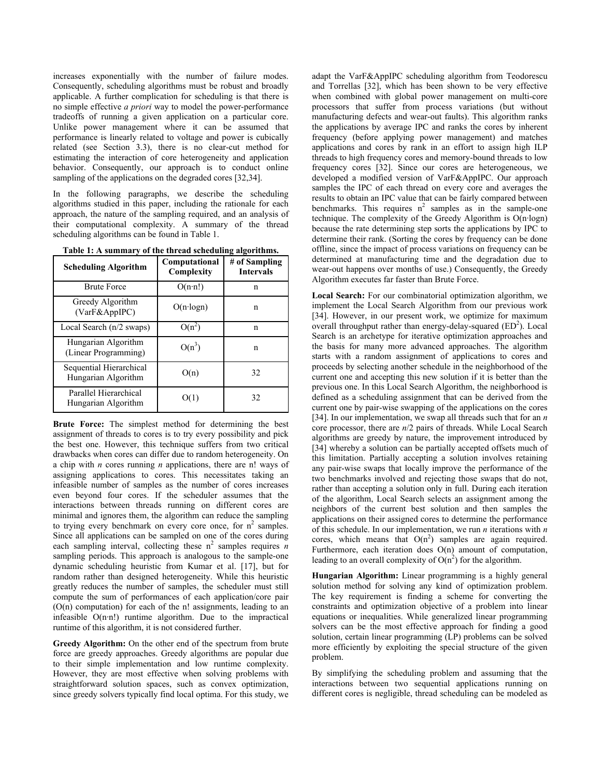increases exponentially with the number of failure modes. Consequently, scheduling algorithms must be robust and broadly applicable. A further complication for scheduling is that there is no simple effective *a priori* way to model the power-performance tradeoffs of running a given application on a particular core. Unlike power management where it can be assumed that performance is linearly related to voltage and power is cubically related (see Section 3.3), there is no clear-cut method for estimating the interaction of core heterogeneity and application behavior. Consequently, our approach is to conduct online sampling of the applications on the degraded cores [32,34].

In the following paragraphs, we describe the scheduling algorithms studied in this paper, including the rationale for each approach, the nature of the sampling required, and an analysis of their computational complexity. A summary of the thread scheduling algorithms can be found in Table 1.

| <b>Scheduling Algorithm</b>                    | Computational<br>Complexity | # of Sampling<br><b>Intervals</b> |
|------------------------------------------------|-----------------------------|-----------------------------------|
| <b>Brute Force</b>                             | $O(n \cdot n!)$             | n                                 |
| Greedy Algorithm<br>(VarF&AppIPC)              | $O(n \cdot log n)$          | n                                 |
| Local Search (n/2 swaps)                       | $O(n^2)$                    | n                                 |
| Hungarian Algorithm<br>(Linear Programming)    | $O(n^3)$                    | n                                 |
| Sequential Hierarchical<br>Hungarian Algorithm | O(n)                        | 32                                |
| Parallel Hierarchical<br>Hungarian Algorithm   | O(1)                        | 32                                |

**Table 1: A summary of the thread scheduling algorithms.**

**Brute Force:** The simplest method for determining the best assignment of threads to cores is to try every possibility and pick the best one. However, this technique suffers from two critical drawbacks when cores can differ due to random heterogeneity. On a chip with *n* cores running *n* applications, there are n! ways of assigning applications to cores. This necessitates taking an infeasible number of samples as the number of cores increases even beyond four cores. If the scheduler assumes that the interactions between threads running on different cores are minimal and ignores them, the algorithm can reduce the sampling to trying every benchmark on every core once, for  $n^2$  samples. Since all applications can be sampled on one of the cores during each sampling interval, collecting these  $n^2$  samples requires *n* sampling periods. This approach is analogous to the sample-one dynamic scheduling heuristic from Kumar et al. [17], but for random rather than designed heterogeneity. While this heuristic greatly reduces the number of samples, the scheduler must still compute the sum of performances of each application/core pair  $(O(n)$  computation) for each of the n! assignments, leading to an infeasible O(n·n!) runtime algorithm. Due to the impractical runtime of this algorithm, it is not considered further.

**Greedy Algorithm:** On the other end of the spectrum from brute force are greedy approaches. Greedy algorithms are popular due to their simple implementation and low runtime complexity. However, they are most effective when solving problems with straightforward solution spaces, such as convex optimization, since greedy solvers typically find local optima. For this study, we adapt the VarF&AppIPC scheduling algorithm from Teodorescu and Torrellas [32], which has been shown to be very effective when combined with global power management on multi-core processors that suffer from process variations (but without manufacturing defects and wear-out faults). This algorithm ranks the applications by average IPC and ranks the cores by inherent frequency (before applying power management) and matches applications and cores by rank in an effort to assign high ILP threads to high frequency cores and memory-bound threads to low frequency cores [32]. Since our cores are heterogeneous, we developed a modified version of VarF&AppIPC. Our approach samples the IPC of each thread on every core and averages the results to obtain an IPC value that can be fairly compared between benchmarks. This requires  $n^2$  samples as in the sample-one technique. The complexity of the Greedy Algorithm is O(n·logn) because the rate determining step sorts the applications by IPC to determine their rank. (Sorting the cores by frequency can be done offline, since the impact of process variations on frequency can be determined at manufacturing time and the degradation due to wear-out happens over months of use.) Consequently, the Greedy Algorithm executes far faster than Brute Force.

**Local Search:** For our combinatorial optimization algorithm, we implement the Local Search Algorithm from our previous work [34]. However, in our present work, we optimize for maximum overall throughput rather than energy-delay-squared  $(ED<sup>2</sup>)$ . Local Search is an archetype for iterative optimization approaches and the basis for many more advanced approaches. The algorithm starts with a random assignment of applications to cores and proceeds by selecting another schedule in the neighborhood of the current one and accepting this new solution if it is better than the previous one. In this Local Search Algorithm, the neighborhood is defined as a scheduling assignment that can be derived from the current one by pair-wise swapping of the applications on the cores [34]. In our implementation, we swap all threads such that for an *n*  core processor, there are *n*/2 pairs of threads. While Local Search algorithms are greedy by nature, the improvement introduced by [34] whereby a solution can be partially accepted offsets much of this limitation. Partially accepting a solution involves retaining any pair-wise swaps that locally improve the performance of the two benchmarks involved and rejecting those swaps that do not, rather than accepting a solution only in full. During each iteration of the algorithm, Local Search selects an assignment among the neighbors of the current best solution and then samples the applications on their assigned cores to determine the performance of this schedule. In our implementation, we run *n* iterations with *n* cores, which means that  $O(n^2)$  samples are again required. Furthermore, each iteration does O(n) amount of computation, leading to an overall complexity of  $O(n^2)$  for the algorithm.

**Hungarian Algorithm:** Linear programming is a highly general solution method for solving any kind of optimization problem. The key requirement is finding a scheme for converting the constraints and optimization objective of a problem into linear equations or inequalities. While generalized linear programming solvers can be the most effective approach for finding a good solution, certain linear programming (LP) problems can be solved more efficiently by exploiting the special structure of the given problem.

By simplifying the scheduling problem and assuming that the interactions between two sequential applications running on different cores is negligible, thread scheduling can be modeled as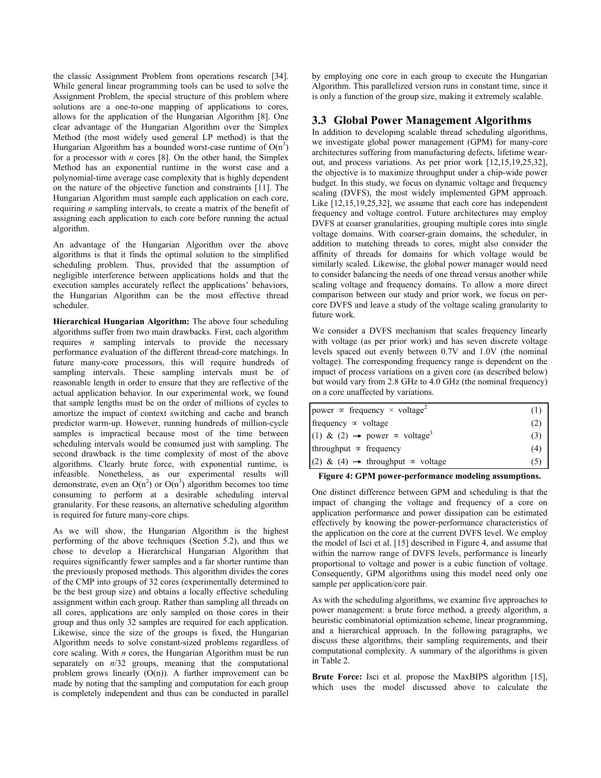the classic Assignment Problem from operations research [34]. While general linear programming tools can be used to solve the Assignment Problem, the special structure of this problem where solutions are a one-to-one mapping of applications to cores, allows for the application of the Hungarian Algorithm [8]. One clear advantage of the Hungarian Algorithm over the Simplex Method (the most widely used general LP method) is that the Hungarian Algorithm has a bounded worst-case runtime of  $O(n^3)$ for a processor with *n* cores [8]. On the other hand, the Simplex Method has an exponential runtime in the worst case and a polynomial-time average case complexity that is highly dependent on the nature of the objective function and constraints [11]. The Hungarian Algorithm must sample each application on each core, requiring *n* sampling intervals, to create a matrix of the benefit of assigning each application to each core before running the actual algorithm.

An advantage of the Hungarian Algorithm over the above algorithms is that it finds the optimal solution to the simplified scheduling problem. Thus, provided that the assumption of negligible interference between applications holds and that the execution samples accurately reflect the applications' behaviors, the Hungarian Algorithm can be the most effective thread scheduler.

**Hierarchical Hungarian Algorithm:** The above four scheduling algorithms suffer from two main drawbacks. First, each algorithm requires *n* sampling intervals to provide the necessary performance evaluation of the different thread-core matchings. In future many-core processors, this will require hundreds of sampling intervals. These sampling intervals must be of reasonable length in order to ensure that they are reflective of the actual application behavior. In our experimental work, we found that sample lengths must be on the order of millions of cycles to amortize the impact of context switching and cache and branch predictor warm-up. However, running hundreds of million-cycle samples is impractical because most of the time between scheduling intervals would be consumed just with sampling. The second drawback is the time complexity of most of the above algorithms. Clearly brute force, with exponential runtime, is infeasible. Nonetheless, as our experimental results will demonstrate, even an  $O(n^2)$  or  $O(n^3)$  algorithm becomes too time consuming to perform at a desirable scheduling interval granularity. For these reasons, an alternative scheduling algorithm is required for future many-core chips.

As we will show, the Hungarian Algorithm is the highest performing of the above techniques (Section 5.2), and thus we chose to develop a Hierarchical Hungarian Algorithm that requires significantly fewer samples and a far shorter runtime than the previously proposed methods. This algorithm divides the cores of the CMP into groups of 32 cores (experimentally determined to be the best group size) and obtains a locally effective scheduling assignment within each group. Rather than sampling all threads on all cores, applications are only sampled on those cores in their group and thus only 32 samples are required for each application. Likewise, since the size of the groups is fixed, the Hungarian Algorithm needs to solve constant-sized problems regardless of core scaling. With *n* cores, the Hungarian Algorithm must be run separately on  $n/32$  groups, meaning that the computational problem grows linearly  $(O(n))$ . A further improvement can be made by noting that the sampling and computation for each group is completely independent and thus can be conducted in parallel by employing one core in each group to execute the Hungarian Algorithm. This parallelized version runs in constant time, since it is only a function of the group size, making it extremely scalable.

#### **3.3 Global Power Management Algorithms**

In addition to developing scalable thread scheduling algorithms, we investigate global power management (GPM) for many-core architectures suffering from manufacturing defects, lifetime wearout, and process variations. As per prior work [12,15,19,25,32], the objective is to maximize throughput under a chip-wide power budget. In this study, we focus on dynamic voltage and frequency scaling (DVFS), the most widely implemented GPM approach. Like [12,15,19,25,32], we assume that each core has independent frequency and voltage control. Future architectures may employ DVFS at coarser granularities, grouping multiple cores into single voltage domains. With coarser-grain domains, the scheduler, in addition to matching threads to cores, might also consider the affinity of threads for domains for which voltage would be similarly scaled. Likewise, the global power manager would need to consider balancing the needs of one thread versus another while scaling voltage and frequency domains. To allow a more direct comparison between our study and prior work, we focus on percore DVFS and leave a study of the voltage scaling granularity to future work.

We consider a DVFS mechanism that scales frequency linearly with voltage (as per prior work) and has seven discrete voltage levels spaced out evenly between 0.7V and 1.0V (the nominal voltage). The corresponding frequency range is dependent on the impact of process variations on a given core (as described below) but would vary from 2.8 GHz to 4.0 GHz (the nominal frequency) on a core unaffected by variations.

| power $\propto$ frequency $\times$ voltage <sup>2</sup>      | (1) |
|--------------------------------------------------------------|-----|
| frequency $\infty$ voltage                                   | (2) |
| (1) & (2) $\rightarrow$ power $\propto$ voltage <sup>3</sup> | (3) |
| throughput $\propto$ frequency                               | (4) |
| (2) & (4) $\rightarrow$ throughput $\propto$ voltage         |     |

**Figure 4: GPM power-performance modeling assumptions.**

One distinct difference between GPM and scheduling is that the impact of changing the voltage and frequency of a core on application performance and power dissipation can be estimated effectively by knowing the power-performance characteristics of the application on the core at the current DVFS level. We employ the model of Isci et al. [15] described in Figure 4, and assume that within the narrow range of DVFS levels, performance is linearly proportional to voltage and power is a cubic function of voltage. Consequently, GPM algorithms using this model need only one sample per application/core pair.

As with the scheduling algorithms, we examine five approaches to power management: a brute force method, a greedy algorithm, a heuristic combinatorial optimization scheme, linear programming, and a hierarchical approach. In the following paragraphs, we discuss these algorithms, their sampling requirements, and their computational complexity. A summary of the algorithms is given in Table 2.

**Brute Force:** Isci et al. propose the MaxBIPS algorithm [15], which uses the model discussed above to calculate the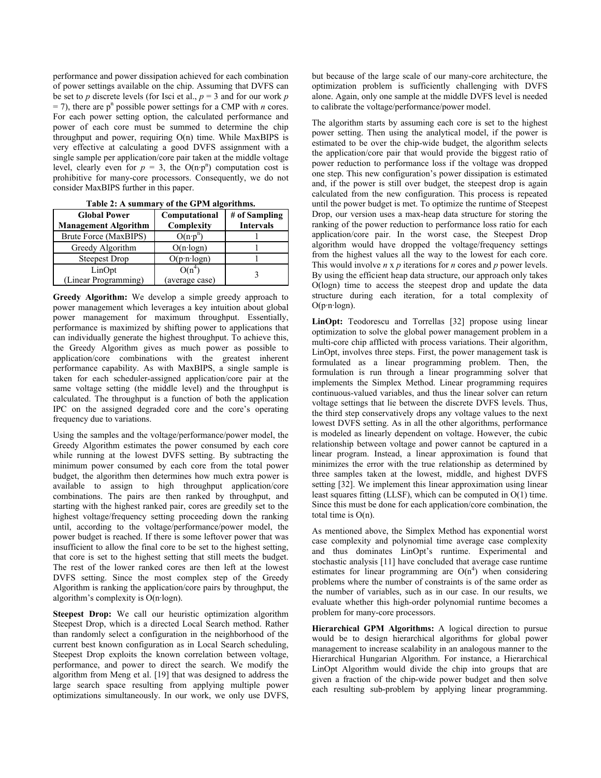performance and power dissipation achieved for each combination of power settings available on the chip. Assuming that DVFS can be set to *p* discrete levels (for Isci et al.,  $p = 3$  and for our work *p*  $=$  7), there are p<sup>n</sup> possible power settings for a CMP with *n* cores. For each power setting option, the calculated performance and power of each core must be summed to determine the chip throughput and power, requiring O(n) time. While MaxBIPS is very effective at calculating a good DVFS assignment with a single sample per application/core pair taken at the middle voltage level, clearly even for  $p = 3$ , the  $O(n p^n)$  computation cost is prohibitive for many-core processors. Consequently, we do not consider MaxBIPS further in this paper.

| 1 aprc 4, 11 summar , 91 mc 91 m algorithms.       |                             |                                   |
|----------------------------------------------------|-----------------------------|-----------------------------------|
| <b>Global Power</b><br><b>Management Algorithm</b> | Computational<br>Complexity | # of Sampling<br><b>Intervals</b> |
| Brute Force (MaxBIPS)                              | $O(n \cdot p^n)$            |                                   |
| Greedy Algorithm                                   | $O(n \cdot log n)$          |                                   |
| <b>Steepest Drop</b>                               | $O(p \cdot n \cdot log n)$  |                                   |
| LinOpt<br>(Linear Programming)                     | $O(n^4)$<br>(average case)  |                                   |

**Table 2: A summary of the GPM algorithms.**

**Greedy Algorithm:** We develop a simple greedy approach to power management which leverages a key intuition about global power management for maximum throughput. Essentially, performance is maximized by shifting power to applications that can individually generate the highest throughput. To achieve this, the Greedy Algorithm gives as much power as possible to application/core combinations with the greatest inherent performance capability. As with MaxBIPS, a single sample is taken for each scheduler-assigned application/core pair at the same voltage setting (the middle level) and the throughput is calculated. The throughput is a function of both the application IPC on the assigned degraded core and the core's operating frequency due to variations.

Using the samples and the voltage/performance/power model, the Greedy Algorithm estimates the power consumed by each core while running at the lowest DVFS setting. By subtracting the minimum power consumed by each core from the total power budget, the algorithm then determines how much extra power is available to assign to high throughput application/core combinations. The pairs are then ranked by throughput, and starting with the highest ranked pair, cores are greedily set to the highest voltage/frequency setting proceeding down the ranking until, according to the voltage/performance/power model, the power budget is reached. If there is some leftover power that was insufficient to allow the final core to be set to the highest setting, that core is set to the highest setting that still meets the budget. The rest of the lower ranked cores are then left at the lowest DVFS setting. Since the most complex step of the Greedy Algorithm is ranking the application/core pairs by throughput, the algorithm's complexity is O(n·logn).

**Steepest Drop:** We call our heuristic optimization algorithm Steepest Drop, which is a directed Local Search method. Rather than randomly select a configuration in the neighborhood of the current best known configuration as in Local Search scheduling, Steepest Drop exploits the known correlation between voltage, performance, and power to direct the search. We modify the algorithm from Meng et al. [19] that was designed to address the large search space resulting from applying multiple power optimizations simultaneously. In our work, we only use DVFS,

but because of the large scale of our many-core architecture, the optimization problem is sufficiently challenging with DVFS alone. Again, only one sample at the middle DVFS level is needed to calibrate the voltage/performance/power model.

The algorithm starts by assuming each core is set to the highest power setting. Then using the analytical model, if the power is estimated to be over the chip-wide budget, the algorithm selects the application/core pair that would provide the biggest ratio of power reduction to performance loss if the voltage was dropped one step. This new configuration's power dissipation is estimated and, if the power is still over budget, the steepest drop is again calculated from the new configuration. This process is repeated until the power budget is met. To optimize the runtime of Steepest Drop, our version uses a max-heap data structure for storing the ranking of the power reduction to performance loss ratio for each application/core pair. In the worst case, the Steepest Drop algorithm would have dropped the voltage/frequency settings from the highest values all the way to the lowest for each core. This would involve *n* x *p* iterations for *n* cores and *p* power levels. By using the efficient heap data structure, our approach only takes O(logn) time to access the steepest drop and update the data structure during each iteration, for a total complexity of  $O(p \cdot n \cdot log n)$ .

**LinOpt:** Teodorescu and Torrellas [32] propose using linear optimization to solve the global power management problem in a multi-core chip afflicted with process variations. Their algorithm, LinOpt, involves three steps. First, the power management task is formulated as a linear programming problem. Then, the formulation is run through a linear programming solver that implements the Simplex Method. Linear programming requires continuous-valued variables, and thus the linear solver can return voltage settings that lie between the discrete DVFS levels. Thus, the third step conservatively drops any voltage values to the next lowest DVFS setting. As in all the other algorithms, performance is modeled as linearly dependent on voltage. However, the cubic relationship between voltage and power cannot be captured in a linear program. Instead, a linear approximation is found that minimizes the error with the true relationship as determined by three samples taken at the lowest, middle, and highest DVFS setting [32]. We implement this linear approximation using linear least squares fitting (LLSF), which can be computed in O(1) time. Since this must be done for each application/core combination, the total time is O(n).

As mentioned above, the Simplex Method has exponential worst case complexity and polynomial time average case complexity and thus dominates LinOpt's runtime. Experimental and stochastic analysis [11] have concluded that average case runtime estimates for linear programming are  $O(n^4)$  when considering problems where the number of constraints is of the same order as the number of variables, such as in our case. In our results, we evaluate whether this high-order polynomial runtime becomes a problem for many-core processors.

**Hierarchical GPM Algorithms:** A logical direction to pursue would be to design hierarchical algorithms for global power management to increase scalability in an analogous manner to the Hierarchical Hungarian Algorithm. For instance, a Hierarchical LinOpt Algorithm would divide the chip into groups that are given a fraction of the chip-wide power budget and then solve each resulting sub-problem by applying linear programming.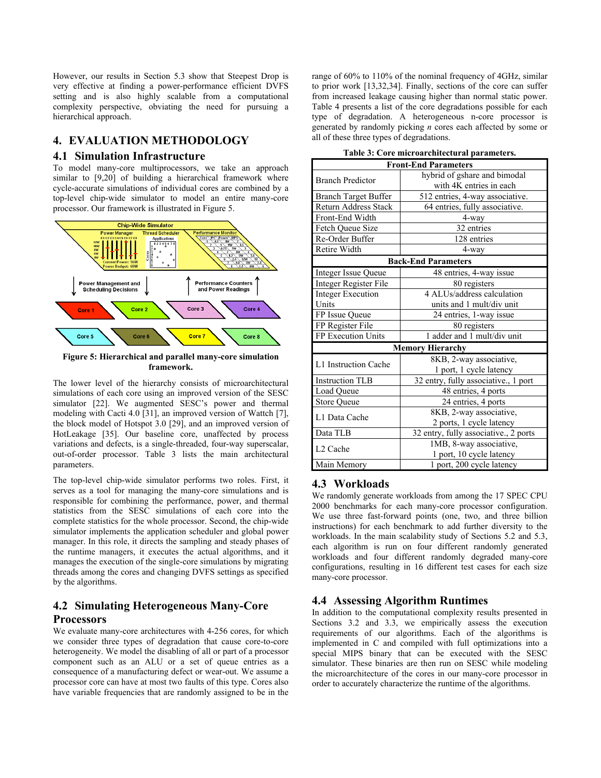However, our results in Section 5.3 show that Steepest Drop is very effective at finding a power-performance efficient DVFS setting and is also highly scalable from a computational complexity perspective, obviating the need for pursuing a hierarchical approach.

## **4. EVALUATION METHODOLOGY**

## **4.1 Simulation Infrastructure**

To model many-core multiprocessors, we take an approach similar to [9,20] of building a hierarchical framework where cycle-accurate simulations of individual cores are combined by a top-level chip-wide simulator to model an entire many-core processor. Our framework is illustrated in Figure 5.



**framework.**

The lower level of the hierarchy consists of microarchitectural simulations of each core using an improved version of the SESC simulator [22]. We augmented SESC's power and thermal modeling with Cacti 4.0 [31], an improved version of Wattch [7], the block model of Hotspot 3.0 [29], and an improved version of HotLeakage [35]. Our baseline core, unaffected by process variations and defects, is a single-threaded, four-way superscalar, out-of-order processor. Table 3 lists the main architectural parameters.

The top-level chip-wide simulator performs two roles. First, it serves as a tool for managing the many-core simulations and is responsible for combining the performance, power, and thermal statistics from the SESC simulations of each core into the complete statistics for the whole processor. Second, the chip-wide simulator implements the application scheduler and global power manager. In this role, it directs the sampling and steady phases of the runtime managers, it executes the actual algorithms, and it manages the execution of the single-core simulations by migrating threads among the cores and changing DVFS settings as specified by the algorithms.

# **4.2 Simulating Heterogeneous Many-Core Processors**

We evaluate many-core architectures with 4-256 cores, for which we consider three types of degradation that cause core-to-core heterogeneity. We model the disabling of all or part of a processor component such as an ALU or a set of queue entries as a consequence of a manufacturing defect or wear-out. We assume a processor core can have at most two faults of this type. Cores also have variable frequencies that are randomly assigned to be in the range of 60% to 110% of the nominal frequency of 4GHz, similar to prior work [13,32,34]. Finally, sections of the core can suffer from increased leakage causing higher than normal static power. Table 4 presents a list of the core degradations possible for each type of degradation. A heterogeneous n-core processor is generated by randomly picking *n* cores each affected by some or all of these three types of degradations.

| Table 3: Core microarchitectural parameters. |  |
|----------------------------------------------|--|
|----------------------------------------------|--|

| <b>Front-End Parameters</b>  |                                       |  |
|------------------------------|---------------------------------------|--|
| <b>Branch Predictor</b>      | hybrid of gshare and bimodal          |  |
|                              | with 4K entries in each               |  |
| Branch Target Buffer         | 512 entries, 4-way associative.       |  |
| <b>Return Address Stack</b>  | 64 entries, fully associative.        |  |
| Front-End Width              | 4-way                                 |  |
| Fetch Oueue Size             | 32 entries                            |  |
| Re-Order Buffer              | 128 entries                           |  |
| Retire Width                 | 4-way                                 |  |
| <b>Back-End Parameters</b>   |                                       |  |
| <b>Integer Issue Queue</b>   | 48 entries, 4-way issue               |  |
| <b>Integer Register File</b> | 80 registers                          |  |
| <b>Integer Execution</b>     | 4 ALUs/address calculation            |  |
| Units                        | units and 1 mult/div unit             |  |
| FP Issue Queue               | 24 entries, 1-way issue               |  |
| FP Register File             | 80 registers                          |  |
| FP Execution Units           | 1 adder and 1 mult/div unit           |  |
|                              | <b>Memory Hierarchy</b>               |  |
| L1 Instruction Cache         | 8KB, 2-way associative,               |  |
|                              | 1 port, 1 cycle latency               |  |
| <b>Instruction TLB</b>       | 32 entry, fully associative., 1 port  |  |
| Load Queue                   | 48 entries, 4 ports                   |  |
| <b>Store Queue</b>           | 24 entries, 4 ports                   |  |
| L1 Data Cache                | 8KB, 2-way associative,               |  |
|                              | 2 ports, 1 cycle latency              |  |
| Data TLB                     | 32 entry, fully associative., 2 ports |  |
| L <sub>2</sub> Cache         | 1MB, 8-way associative,               |  |
|                              | 1 port, 10 cycle latency              |  |
| Main Memory                  | 1 port, 200 cycle latency             |  |

## **4.3 Workloads**

We randomly generate workloads from among the 17 SPEC CPU 2000 benchmarks for each many-core processor configuration. We use three fast-forward points (one, two, and three billion instructions) for each benchmark to add further diversity to the workloads. In the main scalability study of Sections 5.2 and 5.3, each algorithm is run on four different randomly generated workloads and four different randomly degraded many-core configurations, resulting in 16 different test cases for each size many-core processor.

## **4.4 Assessing Algorithm Runtimes**

In addition to the computational complexity results presented in Sections 3.2 and 3.3, we empirically assess the execution requirements of our algorithms. Each of the algorithms is implemented in C and compiled with full optimizations into a special MIPS binary that can be executed with the SESC simulator. These binaries are then run on SESC while modeling the microarchitecture of the cores in our many-core processor in order to accurately characterize the runtime of the algorithms.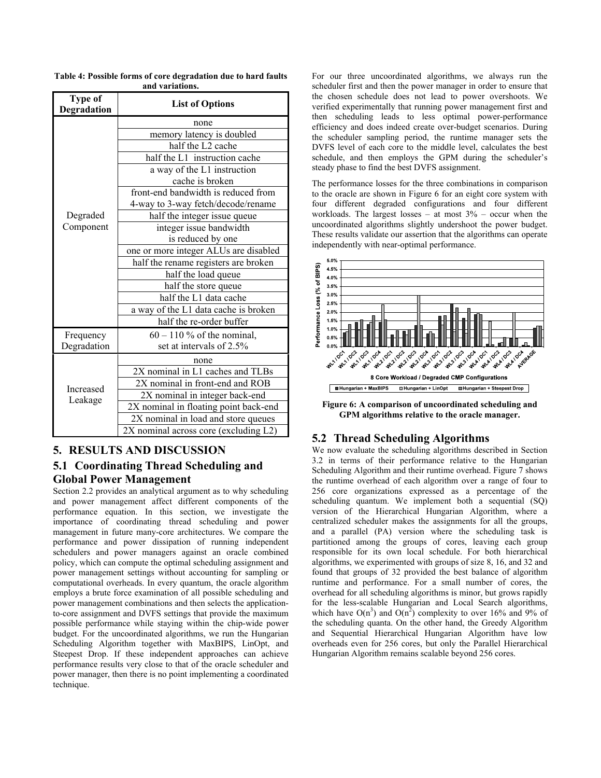| Type of<br>Degradation | <b>List of Options</b>                |  |
|------------------------|---------------------------------------|--|
|                        | none                                  |  |
|                        | memory latency is doubled             |  |
|                        | half the L2 cache                     |  |
|                        | half the L1 instruction cache         |  |
|                        | a way of the L1 instruction           |  |
|                        | cache is broken                       |  |
|                        | front-end bandwidth is reduced from   |  |
|                        | 4-way to 3-way fetch/decode/rename    |  |
| Degraded               | half the integer issue queue          |  |
| Component              | integer issue bandwidth               |  |
|                        | is reduced by one                     |  |
|                        | one or more integer ALUs are disabled |  |
|                        | half the rename registers are broken  |  |
|                        | half the load queue                   |  |
|                        | half the store queue                  |  |
|                        | half the L1 data cache                |  |
|                        | a way of the L1 data cache is broken  |  |
|                        | half the re-order buffer              |  |
| Frequency              | $60 - 110$ % of the nominal,          |  |
| Degradation            | set at intervals of 2.5%              |  |
| Increased<br>Leakage   | none                                  |  |
|                        | 2X nominal in L1 caches and TLBs      |  |
|                        | 2X nominal in front-end and ROB       |  |
|                        | 2X nominal in integer back-end        |  |
|                        | 2X nominal in floating point back-end |  |
|                        | 2X nominal in load and store queues   |  |
|                        | 2X nominal across core (excluding L2) |  |

**Table 4: Possible forms of core degradation due to hard faults and variations.**

# **5. RESULTS AND DISCUSSION 5.1 Coordinating Thread Scheduling and Global Power Management**

Section 2.2 provides an analytical argument as to why scheduling and power management affect different components of the performance equation. In this section, we investigate the importance of coordinating thread scheduling and power management in future many-core architectures. We compare the performance and power dissipation of running independent schedulers and power managers against an oracle combined policy, which can compute the optimal scheduling assignment and power management settings without accounting for sampling or computational overheads. In every quantum, the oracle algorithm employs a brute force examination of all possible scheduling and power management combinations and then selects the applicationto-core assignment and DVFS settings that provide the maximum possible performance while staying within the chip-wide power budget. For the uncoordinated algorithms, we run the Hungarian Scheduling Algorithm together with MaxBIPS, LinOpt, and Steepest Drop. If these independent approaches can achieve performance results very close to that of the oracle scheduler and power manager, then there is no point implementing a coordinated technique.

For our three uncoordinated algorithms, we always run the scheduler first and then the power manager in order to ensure that the chosen schedule does not lead to power overshoots. We verified experimentally that running power management first and then scheduling leads to less optimal power-performance efficiency and does indeed create over-budget scenarios. During the scheduler sampling period, the runtime manager sets the DVFS level of each core to the middle level, calculates the best schedule, and then employs the GPM during the scheduler's steady phase to find the best DVFS assignment.

The performance losses for the three combinations in comparison to the oracle are shown in Figure 6 for an eight core system with four different degraded configurations and four different workloads. The largest losses – at most  $3\%$  – occur when the uncoordinated algorithms slightly undershoot the power budget. These results validate our assertion that the algorithms can operate independently with near-optimal performance.



**Figure 6: A comparison of uncoordinated scheduling and GPM algorithms relative to the oracle manager.**

## **5.2 Thread Scheduling Algorithms**

We now evaluate the scheduling algorithms described in Section 3.2 in terms of their performance relative to the Hungarian Scheduling Algorithm and their runtime overhead. Figure 7 shows the runtime overhead of each algorithm over a range of four to 256 core organizations expressed as a percentage of the scheduling quantum. We implement both a sequential (SQ) version of the Hierarchical Hungarian Algorithm, where a centralized scheduler makes the assignments for all the groups, and a parallel (PA) version where the scheduling task is partitioned among the groups of cores, leaving each group responsible for its own local schedule. For both hierarchical algorithms, we experimented with groups of size 8, 16, and 32 and found that groups of 32 provided the best balance of algorithm runtime and performance. For a small number of cores, the overhead for all scheduling algorithms is minor, but grows rapidly for the less-scalable Hungarian and Local Search algorithms, which have  $O(n^3)$  and  $O(n^2)$  complexity to over 16% and 9% of the scheduling quanta. On the other hand, the Greedy Algorithm and Sequential Hierarchical Hungarian Algorithm have low overheads even for 256 cores, but only the Parallel Hierarchical Hungarian Algorithm remains scalable beyond 256 cores.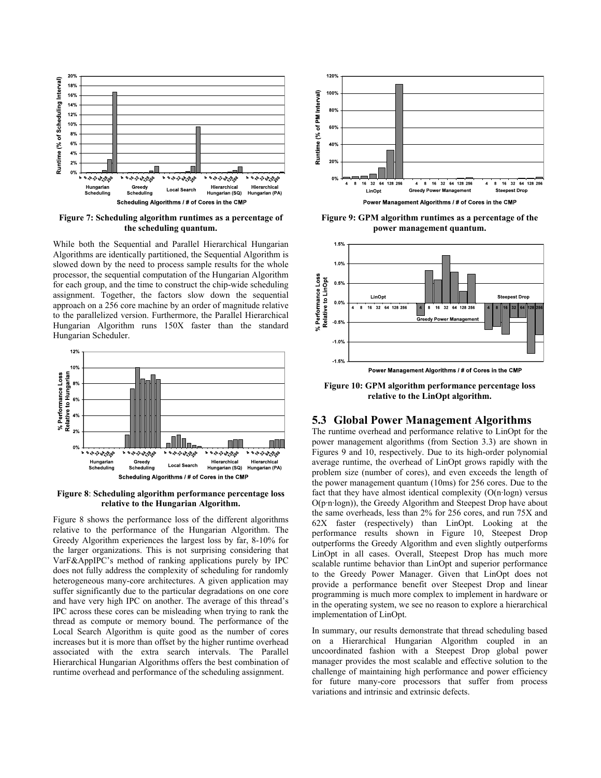

**Figure 7: Scheduling algorithm runtimes as a percentage of the scheduling quantum.**

While both the Sequential and Parallel Hierarchical Hungarian Algorithms are identically partitioned, the Sequential Algorithm is slowed down by the need to process sample results for the whole processor, the sequential computation of the Hungarian Algorithm for each group, and the time to construct the chip-wide scheduling assignment. Together, the factors slow down the sequential approach on a 256 core machine by an order of magnitude relative to the parallelized version. Furthermore, the Parallel Hierarchical Hungarian Algorithm runs 150X faster than the standard Hungarian Scheduler.



**Figure 8**: **Scheduling algorithm performance percentage loss relative to the Hungarian Algorithm.**

Figure 8 shows the performance loss of the different algorithms relative to the performance of the Hungarian Algorithm. The Greedy Algorithm experiences the largest loss by far, 8-10% for the larger organizations. This is not surprising considering that VarF&AppIPC's method of ranking applications purely by IPC does not fully address the complexity of scheduling for randomly heterogeneous many-core architectures. A given application may suffer significantly due to the particular degradations on one core and have very high IPC on another. The average of this thread's IPC across these cores can be misleading when trying to rank the thread as compute or memory bound. The performance of the Local Search Algorithm is quite good as the number of cores increases but it is more than offset by the higher runtime overhead associated with the extra search intervals. The Parallel Hierarchical Hungarian Algorithms offers the best combination of runtime overhead and performance of the scheduling assignment.



**Figure 9: GPM algorithm runtimes as a percentage of the power management quantum.**



**Figure 10: GPM algorithm performance percentage loss relative to the LinOpt algorithm.**

#### **5.3 Global Power Management Algorithms**

The runtime overhead and performance relative to LinOpt for the power management algorithms (from Section 3.3) are shown in Figures 9 and 10, respectively. Due to its high-order polynomial average runtime, the overhead of LinOpt grows rapidly with the problem size (number of cores), and even exceeds the length of the power management quantum (10ms) for 256 cores. Due to the fact that they have almost identical complexity (O(n·logn) versus O(p·n·logn)), the Greedy Algorithm and Steepest Drop have about the same overheads, less than 2% for 256 cores, and run 75X and 62X faster (respectively) than LinOpt. Looking at the performance results shown in Figure 10, Steepest Drop outperforms the Greedy Algorithm and even slightly outperforms LinOpt in all cases. Overall, Steepest Drop has much more scalable runtime behavior than LinOpt and superior performance to the Greedy Power Manager. Given that LinOpt does not provide a performance benefit over Steepest Drop and linear programming is much more complex to implement in hardware or in the operating system, we see no reason to explore a hierarchical implementation of LinOpt.

In summary, our results demonstrate that thread scheduling based on a Hierarchical Hungarian Algorithm coupled in an uncoordinated fashion with a Steepest Drop global power manager provides the most scalable and effective solution to the challenge of maintaining high performance and power efficiency for future many-core processors that suffer from process variations and intrinsic and extrinsic defects.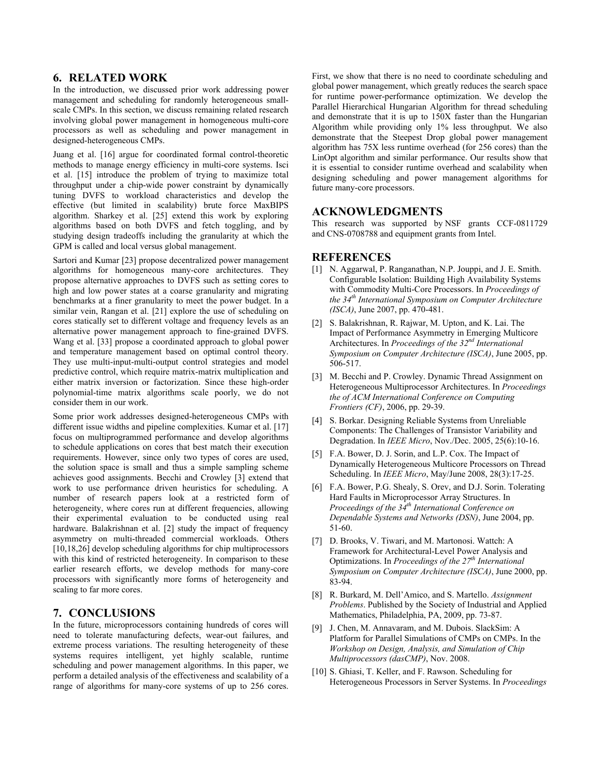#### **6. RELATED WORK**

In the introduction, we discussed prior work addressing power management and scheduling for randomly heterogeneous smallscale CMPs. In this section, we discuss remaining related research involving global power management in homogeneous multi-core processors as well as scheduling and power management in designed-heterogeneous CMPs.

Juang et al. [16] argue for coordinated formal control-theoretic methods to manage energy efficiency in multi-core systems. Isci et al. [15] introduce the problem of trying to maximize total throughput under a chip-wide power constraint by dynamically tuning DVFS to workload characteristics and develop the effective (but limited in scalability) brute force MaxBIPS algorithm. Sharkey et al. [25] extend this work by exploring algorithms based on both DVFS and fetch toggling, and by studying design tradeoffs including the granularity at which the GPM is called and local versus global management.

Sartori and Kumar [23] propose decentralized power management algorithms for homogeneous many-core architectures. They propose alternative approaches to DVFS such as setting cores to high and low power states at a coarse granularity and migrating benchmarks at a finer granularity to meet the power budget. In a similar vein, Rangan et al. [21] explore the use of scheduling on cores statically set to different voltage and frequency levels as an alternative power management approach to fine-grained DVFS. Wang et al. [33] propose a coordinated approach to global power and temperature management based on optimal control theory. They use multi-input-multi-output control strategies and model predictive control, which require matrix-matrix multiplication and either matrix inversion or factorization. Since these high-order polynomial-time matrix algorithms scale poorly, we do not consider them in our work.

Some prior work addresses designed-heterogeneous CMPs with different issue widths and pipeline complexities. Kumar et al. [17] focus on multiprogrammed performance and develop algorithms to schedule applications on cores that best match their execution requirements. However, since only two types of cores are used, the solution space is small and thus a simple sampling scheme achieves good assignments. Becchi and Crowley [3] extend that work to use performance driven heuristics for scheduling. A number of research papers look at a restricted form of heterogeneity, where cores run at different frequencies, allowing their experimental evaluation to be conducted using real hardware. Balakrishnan et al. [2] study the impact of frequency asymmetry on multi-threaded commercial workloads. Others [10,18,26] develop scheduling algorithms for chip multiprocessors with this kind of restricted heterogeneity. In comparison to these earlier research efforts, we develop methods for many-core processors with significantly more forms of heterogeneity and scaling to far more cores.

## **7. CONCLUSIONS**

In the future, microprocessors containing hundreds of cores will need to tolerate manufacturing defects, wear-out failures, and extreme process variations. The resulting heterogeneity of these systems requires intelligent, yet highly scalable, runtime scheduling and power management algorithms. In this paper, we perform a detailed analysis of the effectiveness and scalability of a range of algorithms for many-core systems of up to 256 cores.

First, we show that there is no need to coordinate scheduling and global power management, which greatly reduces the search space for runtime power-performance optimization. We develop the Parallel Hierarchical Hungarian Algorithm for thread scheduling and demonstrate that it is up to 150X faster than the Hungarian Algorithm while providing only 1% less throughput. We also demonstrate that the Steepest Drop global power management algorithm has 75X less runtime overhead (for 256 cores) than the LinOpt algorithm and similar performance. Our results show that it is essential to consider runtime overhead and scalability when designing scheduling and power management algorithms for future many-core processors.

#### **ACKNOWLEDGMENTS**

This research was supported by NSF grants CCF-0811729 and CNS-0708788 and equipment grants from Intel.

#### **REFERENCES**

- [1] N. Aggarwal, P. Ranganathan, N.P. Jouppi, and J. E. Smith. Configurable Isolation: Building High Availability Systems with Commodity Multi-Core Processors. In *Proceedings of the 34th International Symposium on Computer Architecture (ISCA)*, June 2007, pp. 470-481.
- [2] S. Balakrishnan, R. Rajwar, M. Upton, and K. Lai. The Impact of Performance Asymmetry in Emerging Multicore Architectures. In *Proceedings of the 32nd International Symposium on Computer Architecture (ISCA)*, June 2005, pp. 506-517.
- [3] M. Becchi and P. Crowley. Dynamic Thread Assignment on Heterogeneous Multiprocessor Architectures. In *Proceedings the of ACM International Conference on Computing Frontiers (CF)*, 2006, pp. 29-39.
- [4] S. Borkar. Designing Reliable Systems from Unreliable Components: The Challenges of Transistor Variability and Degradation. In *IEEE Micro*, Nov./Dec. 2005, 25(6):10-16.
- [5] F.A. Bower, D. J. Sorin, and L.P. Cox. The Impact of Dynamically Heterogeneous Multicore Processors on Thread Scheduling. In *IEEE Micro*, May/June 2008, 28(3):17-25.
- [6] F.A. Bower, P.G. Shealy, S. Orev, and D.J. Sorin. Tolerating Hard Faults in Microprocessor Array Structures. In *Proceedings of the 34th International Conference on Dependable Systems and Networks (DSN)*, June 2004, pp. 51-60.
- [7] D. Brooks, V. Tiwari, and M. Martonosi. Wattch: A Framework for Architectural-Level Power Analysis and Optimizations. In *Proceedings of the 27th International Symposium on Computer Architecture (ISCA)*, June 2000, pp. 83-94.
- [8] R. Burkard, M. Dell'Amico, and S. Martello. *Assignment Problems*. Published by the Society of Industrial and Applied Mathematics, Philadelphia, PA, 2009, pp. 73-87.
- [9] J. Chen, M. Annavaram, and M. Dubois. SlackSim: A Platform for Parallel Simulations of CMPs on CMPs. In the *Workshop on Design, Analysis, and Simulation of Chip Multiprocessors (dasCMP)*, Nov. 2008.
- [10] S. Ghiasi, T. Keller, and F. Rawson. Scheduling for Heterogeneous Processors in Server Systems. In *Proceedings*